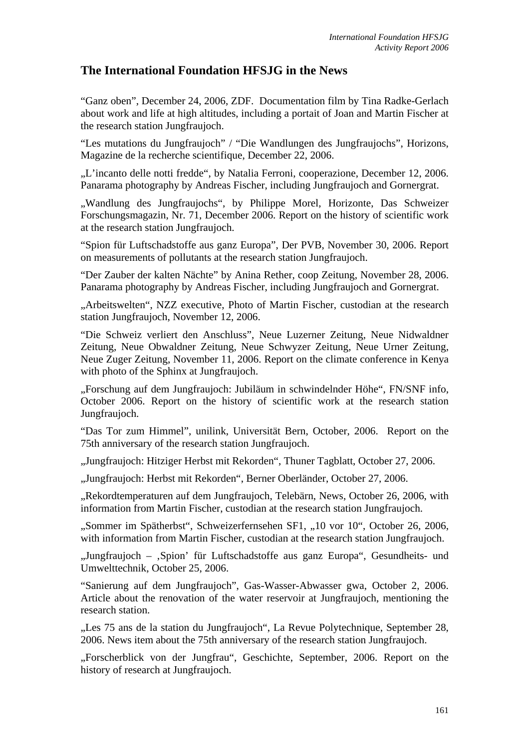## **The International Foundation HFSJG in the News**

"Ganz oben", December 24, 2006, ZDF. Documentation film by Tina Radke-Gerlach about work and life at high altitudes, including a portait of Joan and Martin Fischer at the research station Jungfraujoch.

"Les mutations du Jungfraujoch" / "Die Wandlungen des Jungfraujochs", Horizons, Magazine de la recherche scientifique, December 22, 2006.

"L'incanto delle notti fredde", by Natalia Ferroni, cooperazione, December 12, 2006. Panarama photography by Andreas Fischer, including Jungfraujoch and Gornergrat.

"Wandlung des Jungfraujochs", by Philippe Morel, Horizonte, Das Schweizer Forschungsmagazin, Nr. 71, December 2006. Report on the history of scientific work at the research station Jungfraujoch.

"Spion für Luftschadstoffe aus ganz Europa", Der PVB, November 30, 2006. Report on measurements of pollutants at the research station Jungfraujoch.

"Der Zauber der kalten Nächte" by Anina Rether, coop Zeitung, November 28, 2006. Panarama photography by Andreas Fischer, including Jungfraujoch and Gornergrat.

"Arbeitswelten", NZZ executive, Photo of Martin Fischer, custodian at the research station Jungfraujoch, November 12, 2006.

"Die Schweiz verliert den Anschluss", Neue Luzerner Zeitung, Neue Nidwaldner Zeitung, Neue Obwaldner Zeitung, Neue Schwyzer Zeitung, Neue Urner Zeitung, Neue Zuger Zeitung, November 11, 2006. Report on the climate conference in Kenya with photo of the Sphinx at Jungfraujoch.

"Forschung auf dem Jungfraujoch: Jubiläum in schwindelnder Höhe", FN/SNF info, October 2006. Report on the history of scientific work at the research station Jungfraujoch.

"Das Tor zum Himmel", unilink, Universität Bern, October, 2006. Report on the 75th anniversary of the research station Jungfraujoch.

"Jungfraujoch: Hitziger Herbst mit Rekorden", Thuner Tagblatt, October 27, 2006.

"Jungfraujoch: Herbst mit Rekorden", Berner Oberländer, October 27, 2006.

"Rekordtemperaturen auf dem Jungfraujoch, Telebärn, News, October 26, 2006, with information from Martin Fischer, custodian at the research station Jungfraujoch.

"Sommer im Spätherbst", Schweizerfernsehen SF1, "10 vor 10", October 26, 2006, with information from Martin Fischer, custodian at the research station Jungfraujoch.

"Jungfraujoch – "Spion' für Luftschadstoffe aus ganz Europa", Gesundheits- und Umwelttechnik, October 25, 2006.

"Sanierung auf dem Jungfraujoch", Gas-Wasser-Abwasser gwa, October 2, 2006. Article about the renovation of the water reservoir at Jungfraujoch, mentioning the research station.

"Les 75 ans de la station du Jungfraujoch", La Revue Polytechnique, September 28, 2006. News item about the 75th anniversary of the research station Jungfraujoch.

"Forscherblick von der Jungfrau", Geschichte, September, 2006. Report on the history of research at Jungfraujoch.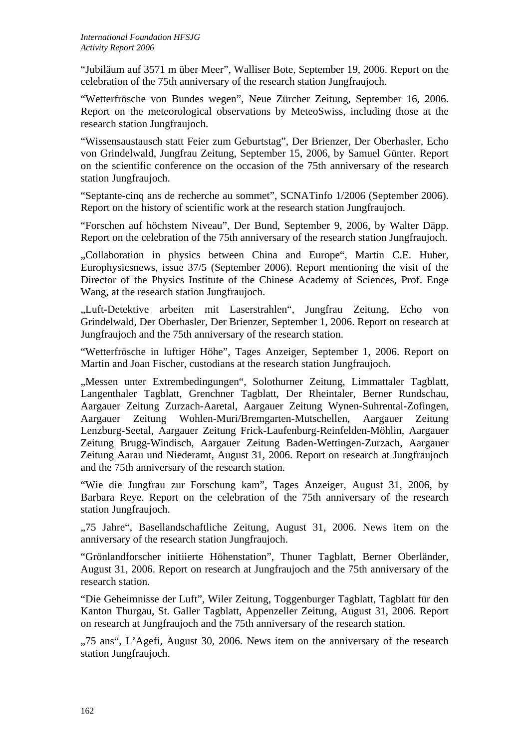"Jubiläum auf 3571 m über Meer", Walliser Bote, September 19, 2006. Report on the celebration of the 75th anniversary of the research station Jungfraujoch.

"Wetterfrösche von Bundes wegen", Neue Zürcher Zeitung, September 16, 2006. Report on the meteorological observations by MeteoSwiss, including those at the research station Jungfraujoch.

"Wissensaustausch statt Feier zum Geburtstag", Der Brienzer, Der Oberhasler, Echo von Grindelwald, Jungfrau Zeitung, September 15, 2006, by Samuel Günter. Report on the scientific conference on the occasion of the 75th anniversary of the research station Jungfraujoch.

"Septante-cinq ans de recherche au sommet", SCNATinfo 1/2006 (September 2006). Report on the history of scientific work at the research station Jungfraujoch.

"Forschen auf höchstem Niveau", Der Bund, September 9, 2006, by Walter Däpp. Report on the celebration of the 75th anniversary of the research station Jungfraujoch.

"Collaboration in physics between China and Europe", Martin C.E. Huber, Europhysicsnews, issue 37/5 (September 2006). Report mentioning the visit of the Director of the Physics Institute of the Chinese Academy of Sciences, Prof. Enge Wang, at the research station Jungfraujoch.

"Luft-Detektive arbeiten mit Laserstrahlen", Jungfrau Zeitung, Echo von Grindelwald, Der Oberhasler, Der Brienzer, September 1, 2006. Report on research at Jungfraujoch and the 75th anniversary of the research station.

"Wetterfrösche in luftiger Höhe", Tages Anzeiger, September 1, 2006. Report on Martin and Joan Fischer, custodians at the research station Jungfraujoch.

"Messen unter Extrembedingungen", Solothurner Zeitung, Limmattaler Tagblatt, Langenthaler Tagblatt, Grenchner Tagblatt, Der Rheintaler, Berner Rundschau, Aargauer Zeitung Zurzach-Aaretal, Aargauer Zeitung Wynen-Suhrental-Zofingen, Aargauer Zeitung Wohlen-Muri/Bremgarten-Mutschellen, Aargauer Zeitung Lenzburg-Seetal, Aargauer Zeitung Frick-Laufenburg-Reinfelden-Möhlin, Aargauer Zeitung Brugg-Windisch, Aargauer Zeitung Baden-Wettingen-Zurzach, Aargauer Zeitung Aarau und Niederamt, August 31, 2006. Report on research at Jungfraujoch and the 75th anniversary of the research station.

"Wie die Jungfrau zur Forschung kam", Tages Anzeiger, August 31, 2006, by Barbara Reye. Report on the celebration of the 75th anniversary of the research station Jungfraujoch.

"75 Jahre", Basellandschaftliche Zeitung, August 31, 2006. News item on the anniversary of the research station Jungfraujoch.

"Grönlandforscher initiierte Höhenstation", Thuner Tagblatt, Berner Oberländer, August 31, 2006. Report on research at Jungfraujoch and the 75th anniversary of the research station.

"Die Geheimnisse der Luft", Wiler Zeitung, Toggenburger Tagblatt, Tagblatt für den Kanton Thurgau, St. Galler Tagblatt, Appenzeller Zeitung, August 31, 2006. Report on research at Jungfraujoch and the 75th anniversary of the research station.

"75 ans", L'Agefi, August 30, 2006. News item on the anniversary of the research station Jungfraujoch.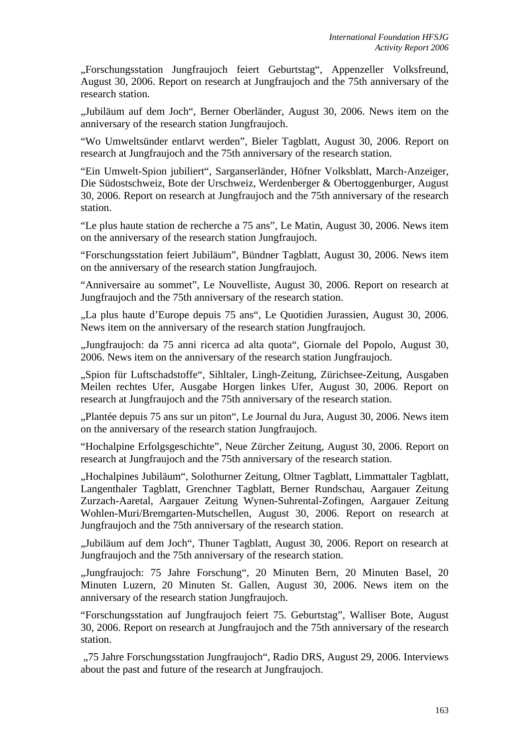"Forschungsstation Jungfraujoch feiert Geburtstag", Appenzeller Volksfreund, August 30, 2006. Report on research at Jungfraujoch and the 75th anniversary of the research station.

"Jubiläum auf dem Joch", Berner Oberländer, August 30, 2006. News item on the anniversary of the research station Jungfraujoch.

"Wo Umweltsünder entlarvt werden", Bieler Tagblatt, August 30, 2006. Report on research at Jungfraujoch and the 75th anniversary of the research station.

"Ein Umwelt-Spion jubiliert", Sarganserländer, Höfner Volksblatt, March-Anzeiger, Die Südostschweiz, Bote der Urschweiz, Werdenberger & Obertoggenburger, August 30, 2006. Report on research at Jungfraujoch and the 75th anniversary of the research station.

"Le plus haute station de recherche a 75 ans", Le Matin, August 30, 2006. News item on the anniversary of the research station Jungfraujoch.

"Forschungsstation feiert Jubiläum", Bündner Tagblatt, August 30, 2006. News item on the anniversary of the research station Jungfraujoch.

"Anniversaire au sommet", Le Nouvelliste, August 30, 2006. Report on research at Jungfraujoch and the 75th anniversary of the research station.

"La plus haute d'Europe depuis 75 ans", Le Quotidien Jurassien, August 30, 2006. News item on the anniversary of the research station Jungfraujoch.

"Jungfraujoch: da 75 anni ricerca ad alta quota", Giornale del Popolo, August 30, 2006. News item on the anniversary of the research station Jungfraujoch.

"Spion für Luftschadstoffe", Sihltaler, Lingh-Zeitung, Zürichsee-Zeitung, Ausgaben Meilen rechtes Ufer, Ausgabe Horgen linkes Ufer, August 30, 2006. Report on research at Jungfraujoch and the 75th anniversary of the research station.

"Plantée depuis 75 ans sur un piton", Le Journal du Jura, August 30, 2006. News item on the anniversary of the research station Jungfraujoch.

"Hochalpine Erfolgsgeschichte", Neue Zürcher Zeitung, August 30, 2006. Report on research at Jungfraujoch and the 75th anniversary of the research station.

"Hochalpines Jubiläum", Solothurner Zeitung, Oltner Tagblatt, Limmattaler Tagblatt, Langenthaler Tagblatt, Grenchner Tagblatt, Berner Rundschau, Aargauer Zeitung Zurzach-Aaretal, Aargauer Zeitung Wynen-Suhrental-Zofingen, Aargauer Zeitung Wohlen-Muri/Bremgarten-Mutschellen, August 30, 2006. Report on research at Jungfraujoch and the 75th anniversary of the research station.

"Jubiläum auf dem Joch", Thuner Tagblatt, August 30, 2006. Report on research at Jungfraujoch and the 75th anniversary of the research station.

"Jungfraujoch: 75 Jahre Forschung", 20 Minuten Bern, 20 Minuten Basel, 20 Minuten Luzern, 20 Minuten St. Gallen, August 30, 2006. News item on the anniversary of the research station Jungfraujoch.

"Forschungsstation auf Jungfraujoch feiert 75. Geburtstag", Walliser Bote, August 30, 2006. Report on research at Jungfraujoch and the 75th anniversary of the research station.

 "75 Jahre Forschungsstation Jungfraujoch", Radio DRS, August 29, 2006. Interviews about the past and future of the research at Jungfraujoch.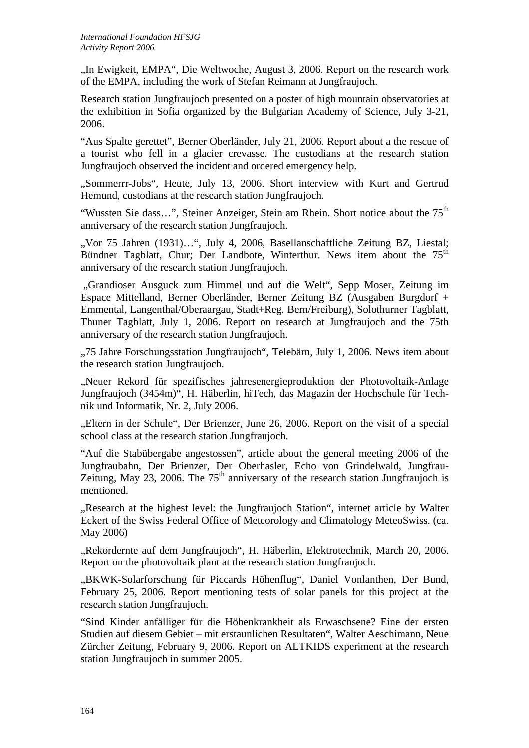"In Ewigkeit, EMPA", Die Weltwoche, August 3, 2006. Report on the research work of the EMPA, including the work of Stefan Reimann at Jungfraujoch.

Research station Jungfraujoch presented on a poster of high mountain observatories at the exhibition in Sofia organized by the Bulgarian Academy of Science, July 3-21, 2006.

"Aus Spalte gerettet", Berner Oberländer, July 21, 2006. Report about a the rescue of a tourist who fell in a glacier crevasse. The custodians at the research station Jungfraujoch observed the incident and ordered emergency help.

"Sommerrr-Jobs", Heute, July 13, 2006. Short interview with Kurt and Gertrud Hemund, custodians at the research station Jungfraujoch.

"Wussten Sie dass...", Steiner Anzeiger, Stein am Rhein. Short notice about the  $75<sup>th</sup>$ anniversary of the research station Jungfraujoch.

"Vor 75 Jahren (1931)...", July 4, 2006, Basellanschaftliche Zeitung BZ, Liestal; Bündner Tagblatt, Chur; Der Landbote, Winterthur. News item about the 75<sup>th</sup> anniversary of the research station Jungfraujoch.

 "Grandioser Ausguck zum Himmel und auf die Welt", Sepp Moser, Zeitung im Espace Mittelland, Berner Oberländer, Berner Zeitung BZ (Ausgaben Burgdorf + Emmental, Langenthal/Oberaargau, Stadt+Reg. Bern/Freiburg), Solothurner Tagblatt, Thuner Tagblatt, July 1, 2006. Report on research at Jungfraujoch and the 75th anniversary of the research station Jungfraujoch.

"75 Jahre Forschungsstation Jungfraujoch", Telebärn, July 1, 2006. News item about the research station Jungfraujoch.

"Neuer Rekord für spezifisches jahresenergieproduktion der Photovoltaik-Anlage Jungfraujoch (3454m)", H. Häberlin, hiTech, das Magazin der Hochschule für Technik und Informatik, Nr. 2, July 2006.

"Eltern in der Schule". Der Brienzer, June 26, 2006. Report on the visit of a special school class at the research station Jungfraujoch.

"Auf die Stabübergabe angestossen", article about the general meeting 2006 of the Jungfraubahn, Der Brienzer, Der Oberhasler, Echo von Grindelwald, Jungfrau-Zeitung, May 23, 2006. The  $75<sup>th</sup>$  anniversary of the research station Jungfraujoch is mentioned.

"Research at the highest level: the Jungfraujoch Station", internet article by Walter Eckert of the Swiss Federal Office of Meteorology and Climatology MeteoSwiss. (ca. May 2006)

"Rekordernte auf dem Jungfraujoch", H. Häberlin, Elektrotechnik, March 20, 2006. Report on the photovoltaik plant at the research station Jungfraujoch.

"BKWK-Solarforschung für Piccards Höhenflug", Daniel Vonlanthen, Der Bund, February 25, 2006. Report mentioning tests of solar panels for this project at the research station Jungfraujoch.

"Sind Kinder anfälliger für die Höhenkrankheit als Erwaschsene? Eine der ersten Studien auf diesem Gebiet – mit erstaunlichen Resultaten", Walter Aeschimann, Neue Zürcher Zeitung, February 9, 2006. Report on ALTKIDS experiment at the research station Jungfraujoch in summer 2005.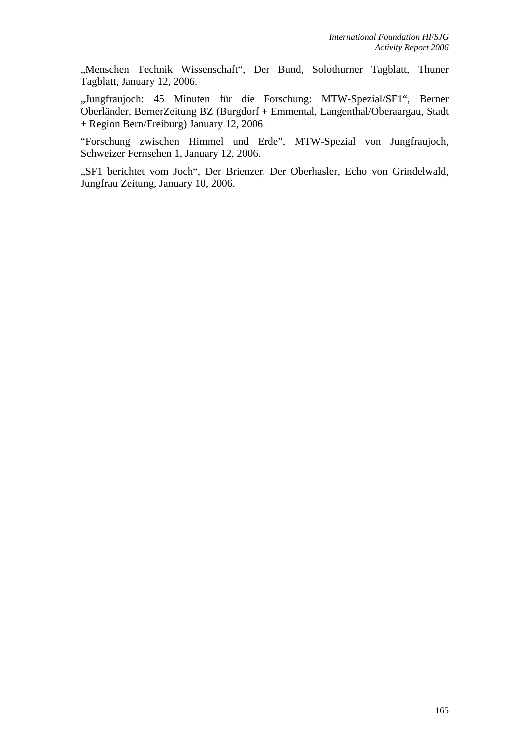"Menschen Technik Wissenschaft", Der Bund, Solothurner Tagblatt, Thuner Tagblatt, January 12, 2006.

"Jungfraujoch: 45 Minuten für die Forschung: MTW-Spezial/SF1", Berner Oberländer, BernerZeitung BZ (Burgdorf + Emmental, Langenthal/Oberaargau, Stadt + Region Bern/Freiburg) January 12, 2006.

"Forschung zwischen Himmel und Erde", MTW-Spezial von Jungfraujoch, Schweizer Fernsehen 1, January 12, 2006.

"SF1 berichtet vom Joch", Der Brienzer, Der Oberhasler, Echo von Grindelwald, Jungfrau Zeitung, January 10, 2006.